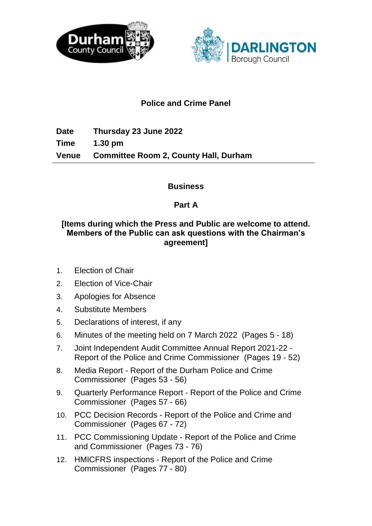



# **Police and Crime Panel**

**Date Thursday 23 June 2022 Time 1.30 pm Venue Committee Room 2, County Hall, Durham**

### **Business**

### **Part A**

# **[Items during which the Press and Public are welcome to attend. Members of the Public can ask questions with the Chairman's agreement]**

- 1. Election of Chair
- 2. Election of Vice-Chair
- 3. Apologies for Absence
- 4. Substitute Members
- 5. Declarations of interest, if any
- 6. Minutes of the meeting held on 7 March 2022(Pages 5 18)
- 7. Joint Independent Audit Committee Annual Report 2021-22 Report of the Police and Crime Commissioner(Pages 19 - 52)
- 8. Media Report Report of the Durham Police and Crime Commissioner(Pages 53 - 56)
- 9. Quarterly Performance Report Report of the Police and Crime Commissioner(Pages 57 - 66)
- 10. PCC Decision Records Report of the Police and Crime and Commissioner(Pages 67 - 72)
- 11. PCC Commissioning Update Report of the Police and Crime and Commissioner(Pages 73 - 76)
- 12. HMICFRS inspections Report of the Police and Crime Commissioner(Pages 77 - 80)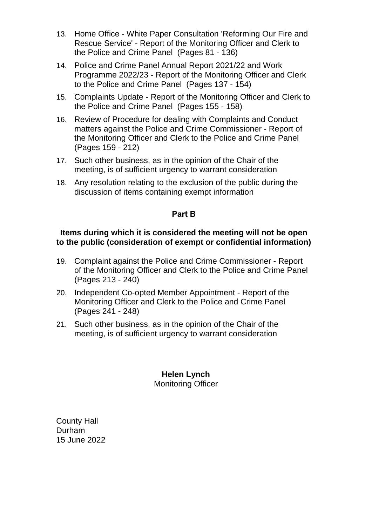- 13. Home Office White Paper Consultation 'Reforming Our Fire and Rescue Service' - Report of the Monitoring Officer and Clerk to the Police and Crime Panel(Pages 81 - 136)
- 14. Police and Crime Panel Annual Report 2021/22 and Work Programme 2022/23 - Report of the Monitoring Officer and Clerk to the Police and Crime Panel(Pages 137 - 154)
- 15. Complaints Update Report of the Monitoring Officer and Clerk to the Police and Crime Panel(Pages 155 - 158)
- 16. Review of Procedure for dealing with Complaints and Conduct matters against the Police and Crime Commissioner - Report of the Monitoring Officer and Clerk to the Police and Crime Panel (Pages 159 - 212)
- 17. Such other business, as in the opinion of the Chair of the meeting, is of sufficient urgency to warrant consideration
- 18. Any resolution relating to the exclusion of the public during the discussion of items containing exempt information

### **Part B**

#### **Items during which it is considered the meeting will not be open to the public (consideration of exempt or confidential information)**

- 19. Complaint against the Police and Crime Commissioner Report of the Monitoring Officer and Clerk to the Police and Crime Panel (Pages 213 - 240)
- 20. Independent Co-opted Member Appointment Report of the Monitoring Officer and Clerk to the Police and Crime Panel (Pages 241 - 248)
- 21. Such other business, as in the opinion of the Chair of the meeting, is of sufficient urgency to warrant consideration

# **Helen Lynch**

Monitoring Officer

County Hall Durham 15 June 2022